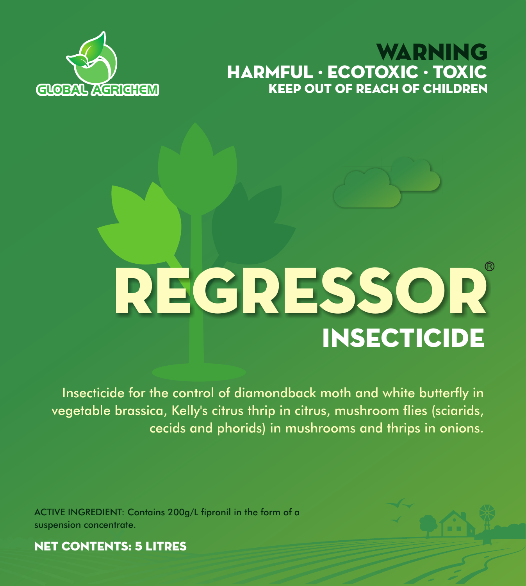# **GLOBAL AGRICULAR COMPUTER CHILDREN** WARNING HARMFUL · ECOTOXIC · TOXIC



# **INSECTICIDE** REGRESSOR

Insecticide for the control of diamondback moth and white butterfly in vegetable brassica, Kelly's citrus thrip in citrus, mushroom flies (sciarids, cecids and phorids) in mushrooms and thrips in onions.

ACTIVE INGREDIENT: Contains 200g/L fipronil in the form of a suspension concentrate.



NET CONTENTS: 5 LITRES